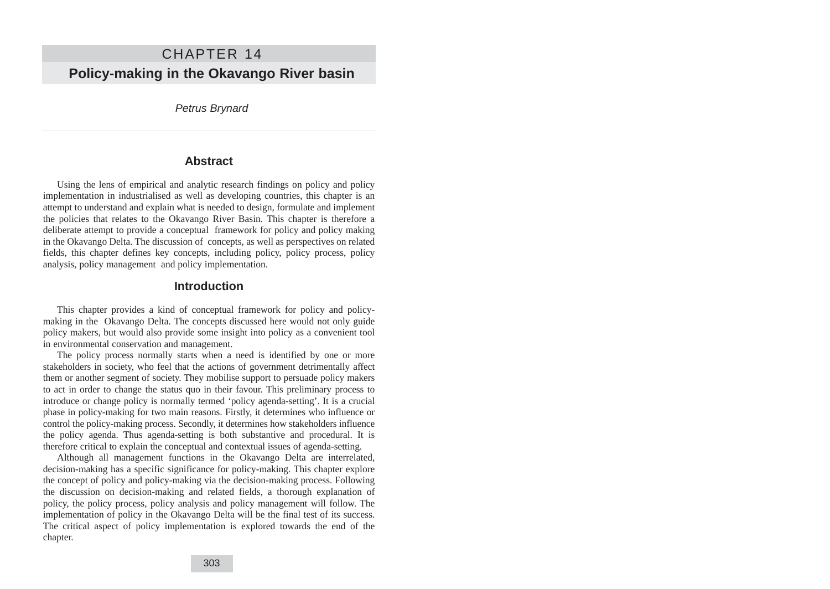# CHAPTER 14 **Policy-making in the Okavango River basin**

Petrus Brynard

#### **Abstract**

Using the lens of empirical and analytic research findings on policy and policy implementation in industrialised as well as developing countries, this chapter is an attempt to understand and explain what is needed to design, formulate and implement the policies that relates to the Okavango River Basin. This chapter is therefore a deliberate attempt to provide a conceptual framework for policy and policy making in the Okavango Delta. The discussion of concepts, as well as perspectives on related fields, this chapter defines key concepts, including policy, policy process, policy analysis, policy management and policy implementation.

#### **Introduction**

This chapter provides a kind of conceptual framework for policy and policymaking in the Okavango Delta. The concepts discussed here would not only guide policy makers, but would also provide some insight into policy as a convenient tool in environmental conservation and management.

The policy process normally starts when a need is identified by one or more stakeholders in society, who feel that the actions of government detrimentally affect them or another segment of society. They mobilise support to persuade policy makers to act in order to change the status quo in their favour. This preliminary process to introduce or change policy is normally termed 'policy agenda-setting'. It is a crucial phase in policy-making for two main reasons. Firstly, it determines who influence or control the policy-making process. Secondly, it determines how stakeholders influence the policy agenda. Thus agenda-setting is both substantive and procedural. It is therefore critical to explain the conceptual and contextual issues of agenda-setting.

Although all management functions in the Okavango Delta are interrelated, decision-making has a specific significance for policy-making. This chapter explore the concept of policy and policy-making via the decision-making process. Following the discussion on decision-making and related fields, a thorough explanation of policy, the policy process, policy analysis and policy management will follow. The implementation of policy in the Okavango Delta will be the final test of its success. The critical aspect of policy implementation is explored towards the end of the chapter.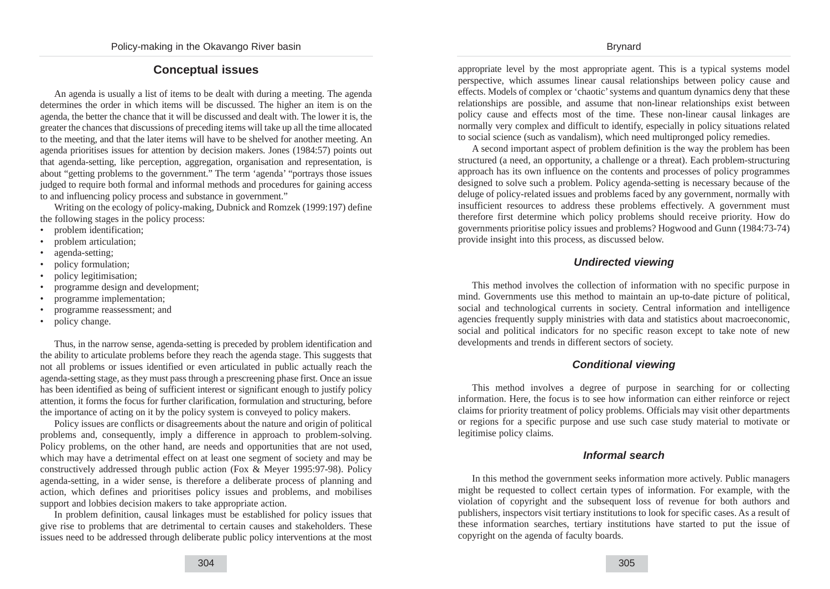# **Conceptual issues**

An agenda is usually a list of items to be dealt with during a meeting. The agenda determines the order in which items will be discussed. The higher an item is on the agenda, the better the chance that it will be discussed and dealt with. The lower it is, the greater the chances that discussions of preceding items will take up all the time allocated to the meeting, and that the later items will have to be shelved for another meeting. An agenda prioritises issues for attention by decision makers. Jones (1984:57) points out that agenda-setting, like perception, aggregation, organisation and representation, is about "getting problems to the government." The term 'agenda' "portrays those issues judged to require both formal and informal methods and procedures for gaining access to and influencing policy process and substance in government."

Writing on the ecology of policy-making, Dubnick and Romzek (1999:197) define the following stages in the policy process:

- problem identification;
- problem articulation;
- agenda-setting;
- policy formulation;
- policy legitimisation;
- programme design and development;
- programme implementation;
- programme reassessment; and
- policy change.

Thus, in the narrow sense, agenda-setting is preceded by problem identification and the ability to articulate problems before they reach the agenda stage. This suggests that not all problems or issues identified or even articulated in public actually reach the agenda-setting stage, as they must pass through a prescreening phase first. Once an issue has been identified as being of sufficient interest or significant enough to justify policy attention, it forms the focus for further clarification, formulation and structuring, before the importance of acting on it by the policy system is conveyed to policy makers.

Policy issues are conflicts or disagreements about the nature and origin of political problems and, consequently, imply a difference in approach to problem-solving. Policy problems, on the other hand, are needs and opportunities that are not used, which may have a detrimental effect on at least one segment of society and may be constructively addressed through public action (Fox & Meyer 1995:97-98). Policy agenda-setting, in a wider sense, is therefore a deliberate process of planning and action, which defines and prioritises policy issues and problems, and mobilises support and lobbies decision makers to take appropriate action.

In problem definition, causal linkages must be established for policy issues that give rise to problems that are detrimental to certain causes and stakeholders. These issues need to be addressed through deliberate public policy interventions at the most appropriate level by the most appropriate agent. This is a typical systems model perspective, which assumes linear causal relationships between policy cause and effects. Models of complex or 'chaotic' systems and quantum dynamics deny that these relationships are possible, and assume that non-linear relationships exist between policy cause and effects most of the time. These non-linear causal linkages are normally very complex and difficult to identify, especially in policy situations related to social science (such as vandalism), which need multipronged policy remedies.

A second important aspect of problem definition is the way the problem has been structured (a need, an opportunity, a challenge or a threat). Each problem-structuring approach has its own influence on the contents and processes of policy programmes designed to solve such a problem. Policy agenda-setting is necessary because of the deluge of policy-related issues and problems faced by any government, normally with insufficient resources to address these problems effectively. A government must therefore first determine which policy problems should receive priority. How do governments prioritise policy issues and problems? Hogwood and Gunn (1984:73-74) provide insight into this process, as discussed below.

## **Undirected viewing**

This method involves the collection of information with no specific purpose in mind. Governments use this method to maintain an up-to-date picture of political, social and technological currents in society. Central information and intelligence agencies frequently supply ministries with data and statistics about macroeconomic, social and political indicators for no specific reason except to take note of new developments and trends in different sectors of society.

# **Conditional viewing**

This method involves a degree of purpose in searching for or collecting information. Here, the focus is to see how information can either reinforce or reject claims for priority treatment of policy problems. Officials may visit other departments or regions for a specific purpose and use such case study material to motivate or legitimise policy claims.

## **Informal search**

In this method the government seeks information more actively. Public managers might be requested to collect certain types of information. For example, with the violation of copyright and the subsequent loss of revenue for both authors and publishers, inspectors visit tertiary institutions to look for specific cases. As a result of these information searches, tertiary institutions have started to put the issue of copyright on the agenda of faculty boards.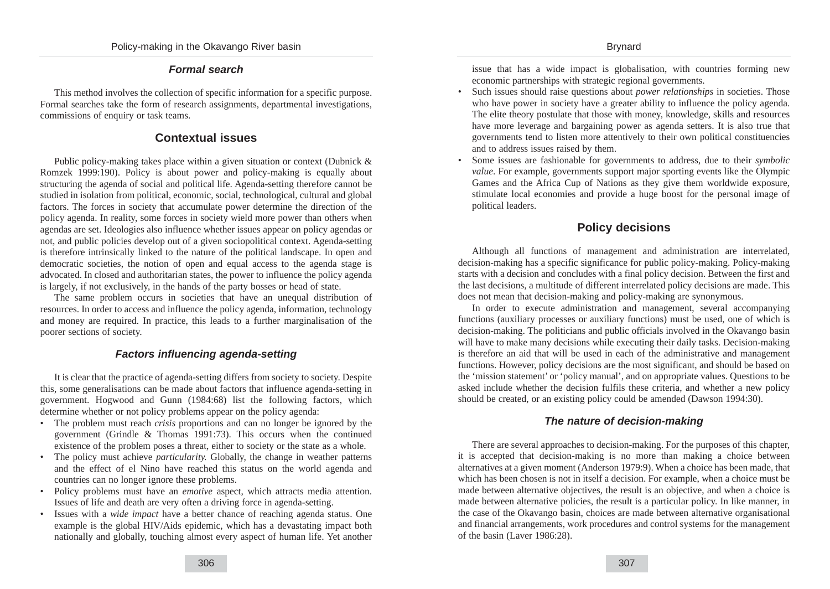## **Formal search**

This method involves the collection of specific information for a specific purpose. Formal searches take the form of research assignments, departmental investigations, commissions of enquiry or task teams.

# **Contextual issues**

Public policy-making takes place within a given situation or context (Dubnick & Romzek 1999:190). Policy is about power and policy-making is equally about structuring the agenda of social and political life. Agenda-setting therefore cannot be studied in isolation from political, economic, social, technological, cultural and global factors. The forces in society that accumulate power determine the direction of the policy agenda. In reality, some forces in society wield more power than others when agendas are set. Ideologies also influence whether issues appear on policy agendas or not, and public policies develop out of a given sociopolitical context. Agenda-setting is therefore intrinsically linked to the nature of the political landscape. In open and democratic societies, the notion of open and equal access to the agenda stage is advocated. In closed and authoritarian states, the power to influence the policy agenda is largely, if not exclusively, in the hands of the party bosses or head of state.

The same problem occurs in societies that have an unequal distribution of resources. In order to access and influence the policy agenda, information, technology and money are required. In practice, this leads to a further marginalisation of the poorer sections of society.

## **Factors influencing agenda-setting**

It is clear that the practice of agenda-setting differs from society to society. Despite this, some generalisations can be made about factors that influence agenda-setting in government. Hogwood and Gunn (1984:68) list the following factors, which determine whether or not policy problems appear on the policy agenda:

- The problem must reach *crisis* proportions and can no longer be ignored by the government (Grindle & Thomas 1991:73). This occurs when the continued existence of the problem poses a threat, either to society or the state as a whole.
- The policy must achieve *particularity.* Globally, the change in weather patterns and the effect of el Nino have reached this status on the world agenda and countries can no longer ignore these problems.
- Policy problems must have an *emotive* aspect, which attracts media attention. Issues of life and death are very often a driving force in agenda-setting.
- Issues with a *wide impact* have a better chance of reaching agenda status. One example is the global HIV/Aids epidemic, which has a devastating impact both nationally and globally, touching almost every aspect of human life. Yet another

issue that has a wide impact is globalisation, with countries forming new economic partnerships with strategic regional governments.

- Such issues should raise questions about *power relationships* in societies. Those who have power in society have a greater ability to influence the policy agenda. The elite theory postulate that those with money, knowledge, skills and resources have more leverage and bargaining power as agenda setters. It is also true that governments tend to listen more attentively to their own political constituencies and to address issues raised by them.
- Some issues are fashionable for governments to address, due to their *symbolic value*. For example, governments support major sporting events like the Olympic Games and the Africa Cup of Nations as they give them worldwide exposure, stimulate local economies and provide a huge boost for the personal image of political leaders.

# **Policy decisions**

Although all functions of management and administration are interrelated, decision-making has a specific significance for public policy-making. Policy-making starts with a decision and concludes with a final policy decision. Between the first and the last decisions, a multitude of different interrelated policy decisions are made. This does not mean that decision-making and policy-making are synonymous.

In order to execute administration and management, several accompanying functions (auxiliary processes or auxiliary functions) must be used, one of which is decision-making. The politicians and public officials involved in the Okavango basin will have to make many decisions while executing their daily tasks. Decision-making is therefore an aid that will be used in each of the administrative and management functions. However, policy decisions are the most significant, and should be based on the 'mission statement' or 'policy manual', and on appropriate values. Questions to be asked include whether the decision fulfils these criteria, and whether a new policy should be created, or an existing policy could be amended (Dawson 1994:30).

## **The nature of decision-making**

There are several approaches to decision-making. For the purposes of this chapter, it is accepted that decision-making is no more than making a choice between alternatives at a given moment (Anderson 1979:9). When a choice has been made, that which has been chosen is not in itself a decision. For example, when a choice must be made between alternative objectives, the result is an objective, and when a choice is made between alternative policies, the result is a particular policy. In like manner, in the case of the Okavango basin, choices are made between alternative organisational and financial arrangements, work procedures and control systems for the management of the basin (Laver 1986:28).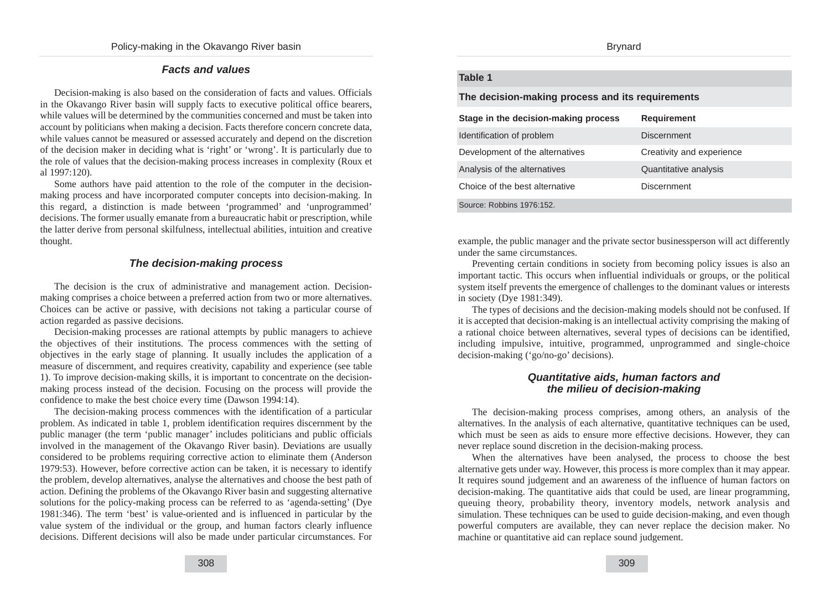#### **Facts and values**

Decision-making is also based on the consideration of facts and values. Officials in the Okavango River basin will supply facts to executive political office bearers, while values will be determined by the communities concerned and must be taken into account by politicians when making a decision. Facts therefore concern concrete data, while values cannot be measured or assessed accurately and depend on the discretion of the decision maker in deciding what is 'right' or 'wrong'. It is particularly due to the role of values that the decision-making process increases in complexity (Roux et al 1997:120).

Some authors have paid attention to the role of the computer in the decisionmaking process and have incorporated computer concepts into decision-making. In this regard, a distinction is made between 'programmed' and 'unprogrammed' decisions. The former usually emanate from a bureaucratic habit or prescription, while the latter derive from personal skilfulness, intellectual abilities, intuition and creative thought.

## **The decision-making process**

The decision is the crux of administrative and management action. Decisionmaking comprises a choice between a preferred action from two or more alternatives. Choices can be active or passive, with decisions not taking a particular course of action regarded as passive decisions.

Decision-making processes are rational attempts by public managers to achieve the objectives of their institutions. The process commences with the setting of objectives in the early stage of planning. It usually includes the application of a measure of discernment, and requires creativity, capability and experience (see table 1). To improve decision-making skills, it is important to concentrate on the decisionmaking process instead of the decision. Focusing on the process will provide the confidence to make the best choice every time (Dawson 1994:14).

The decision-making process commences with the identification of a particular problem. As indicated in table 1, problem identification requires discernment by the public manager (the term 'public manager' includes politicians and public officials involved in the management of the Okavango River basin). Deviations are usually considered to be problems requiring corrective action to eliminate them (Anderson 1979:53). However, before corrective action can be taken, it is necessary to identify the problem, develop alternatives, analyse the alternatives and choose the best path of action. Defining the problems of the Okavango River basin and suggesting alternative solutions for the policy-making process can be referred to as 'agenda-setting' (Dye 1981:346). The term 'best' is value-oriented and is influenced in particular by the value system of the individual or the group, and human factors clearly influence decisions. Different decisions will also be made under particular circumstances. For

## **Table 1**

**The decision-making process and its requirements**

| Stage in the decision-making process | <b>Requirement</b>        |
|--------------------------------------|---------------------------|
| Identification of problem            | Discernment               |
| Development of the alternatives      | Creativity and experience |
| Analysis of the alternatives         | Quantitative analysis     |
| Choice of the best alternative       | <b>Discernment</b>        |
| Source: Robbins 1976:152.            |                           |

example, the public manager and the private sector businessperson will act differently under the same circumstances.

Preventing certain conditions in society from becoming policy issues is also an important tactic. This occurs when influential individuals or groups, or the political system itself prevents the emergence of challenges to the dominant values or interests in society (Dye 1981:349).

The types of decisions and the decision-making models should not be confused. If it is accepted that decision-making is an intellectual activity comprising the making of a rational choice between alternatives, several types of decisions can be identified, including impulsive, intuitive, programmed, unprogrammed and single-choice decision-making ('go/no-go' decisions).

#### **Quantitative aids, human factors and the milieu of decision-making**

The decision-making process comprises, among others, an analysis of the alternatives. In the analysis of each alternative, quantitative techniques can be used, which must be seen as aids to ensure more effective decisions. However, they can never replace sound discretion in the decision-making process.

When the alternatives have been analysed, the process to choose the best alternative gets under way. However, this process is more complex than it may appear. It requires sound judgement and an awareness of the influence of human factors on decision-making. The quantitative aids that could be used, are linear programming, queuing theory, probability theory, inventory models, network analysis and simulation. These techniques can be used to guide decision-making, and even though powerful computers are available, they can never replace the decision maker. No machine or quantitative aid can replace sound judgement.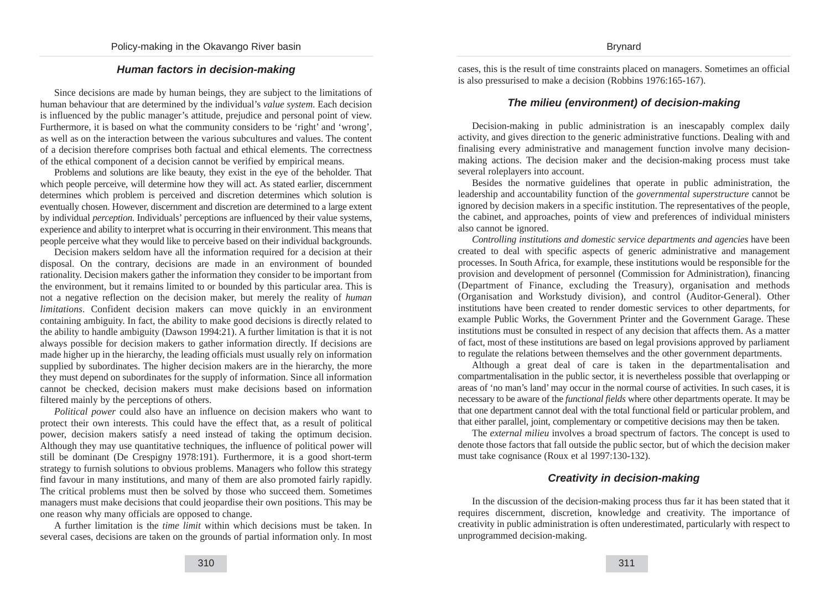## **Human factors in decision-making**

Since decisions are made by human beings, they are subject to the limitations of human behaviour that are determined by the individual's *value system*. Each decision is influenced by the public manager's attitude, prejudice and personal point of view. Furthermore, it is based on what the community considers to be 'right' and 'wrong', as well as on the interaction between the various subcultures and values. The content of a decision therefore comprises both factual and ethical elements. The correctness of the ethical component of a decision cannot be verified by empirical means.

Problems and solutions are like beauty, they exist in the eye of the beholder. That which people perceive, will determine how they will act. As stated earlier, discernment determines which problem is perceived and discretion determines which solution is eventually chosen. However, discernment and discretion are determined to a large extent by individual *perception*. Individuals' perceptions are influenced by their value systems, experience and ability to interpret what is occurring in their environment. This means that people perceive what they would like to perceive based on their individual backgrounds.

Decision makers seldom have all the information required for a decision at their disposal. On the contrary, decisions are made in an environment of bounded rationality. Decision makers gather the information they consider to be important from the environment, but it remains limited to or bounded by this particular area. This is not a negative reflection on the decision maker, but merely the reality of *human limitations*. Confident decision makers can move quickly in an environment containing ambiguity. In fact, the ability to make good decisions is directly related to the ability to handle ambiguity (Dawson 1994:21). A further limitation is that it is not always possible for decision makers to gather information directly. If decisions are made higher up in the hierarchy, the leading officials must usually rely on information supplied by subordinates. The higher decision makers are in the hierarchy, the more they must depend on subordinates for the supply of information. Since all information cannot be checked, decision makers must make decisions based on information filtered mainly by the perceptions of others.

*Political power* could also have an influence on decision makers who want to protect their own interests. This could have the effect that, as a result of political power, decision makers satisfy a need instead of taking the optimum decision. Although they may use quantitative techniques, the influence of political power will still be dominant (De Crespigny 1978:191). Furthermore, it is a good short-term strategy to furnish solutions to obvious problems. Managers who follow this strategy find favour in many institutions, and many of them are also promoted fairly rapidly. The critical problems must then be solved by those who succeed them. Sometimes managers must make decisions that could jeopardise their own positions. This may be one reason why many officials are opposed to change.

A further limitation is the *time limit* within which decisions must be taken. In several cases, decisions are taken on the grounds of partial information only. In most cases, this is the result of time constraints placed on managers. Sometimes an official is also pressurised to make a decision (Robbins 1976:165-167).

### **The milieu (environment) of decision-making**

Decision-making in public administration is an inescapably complex daily activity, and gives direction to the generic administrative functions. Dealing with and finalising every administrative and management function involve many decisionmaking actions. The decision maker and the decision-making process must take several roleplayers into account.

Besides the normative guidelines that operate in public administration, the leadership and accountability function of the *governmental superstructure* cannot be ignored by decision makers in a specific institution. The representatives of the people, the cabinet, and approaches, points of view and preferences of individual ministers also cannot be ignored.

*Controlling institutions and domestic service departments and agencies* have been created to deal with specific aspects of generic administrative and management processes. In South Africa, for example, these institutions would be responsible for the provision and development of personnel (Commission for Administration), financing (Department of Finance, excluding the Treasury), organisation and methods (Organisation and Workstudy division), and control (Auditor-General). Other institutions have been created to render domestic services to other departments, for example Public Works, the Government Printer and the Government Garage. These institutions must be consulted in respect of any decision that affects them. As a matter of fact, most of these institutions are based on legal provisions approved by parliament to regulate the relations between themselves and the other government departments.

Although a great deal of care is taken in the departmentalisation and compartmentalisation in the public sector, it is nevertheless possible that overlapping or areas of 'no man's land' may occur in the normal course of activities. In such cases, it is necessary to be aware of the *functional fields* where other departments operate. It may be that one department cannot deal with the total functional field or particular problem, and that either parallel, joint, complementary or competitive decisions may then be taken.

The *external milieu* involves a broad spectrum of factors. The concept is used to denote those factors that fall outside the public sector, but of which the decision maker must take cognisance (Roux et al 1997:130-132).

#### **Creativity in decision-making**

In the discussion of the decision-making process thus far it has been stated that it requires discernment, discretion, knowledge and creativity. The importance of creativity in public administration is often underestimated, particularly with respect to unprogrammed decision-making.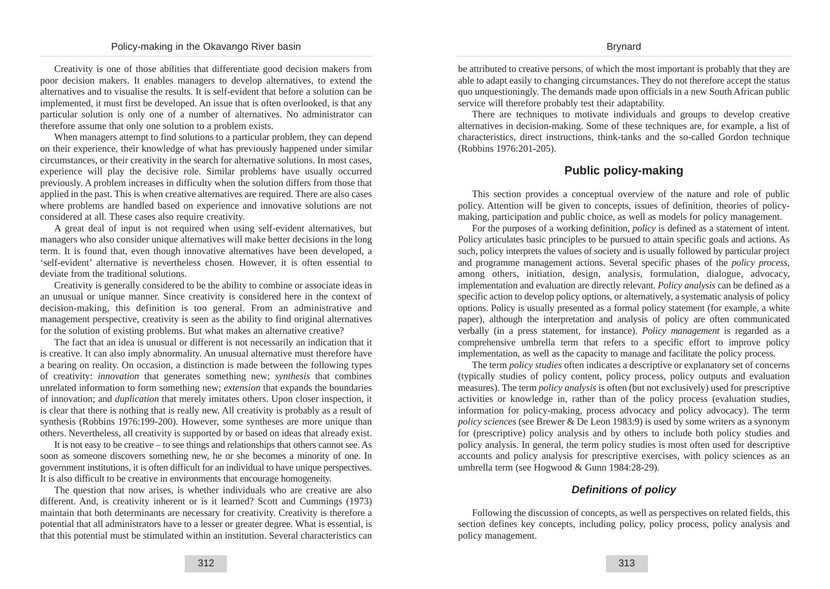Creativity is one of those abilities that differentiate good decision makers from poor decision makers. It enables managers to develop alternatives, to extend the alternatives and to visualise the results. It is self-evident that before a solution can be implemented, it must first be developed. An issue that is often overlooked, is that any particular solution is only one of a number of alternatives. No administrator can therefore assume that only one solution to a problem exists.

When managers attempt to find solutions to a particular problem, they can depend on their experience, their knowledge of what has previously happened under similar circumstances, or their creativity in the search for alternative solutions. In most cases, experience will play the decisive role. Similar problems have usually occurred previously. A problem increases in difficulty when the solution differs from those that applied in the past. This is when creative alternatives are required. There are also cases where problems are handled based on experience and innovative solutions are not considered at all. These cases also require creativity.

A great deal of input is not required when using self-evident alternatives, but managers who also consider unique alternatives will make better decisions in the long term. It is found that, even though innovative alternatives have been developed, a 'self-evident' alternative is nevertheless chosen. However, it is often essential to deviate from the traditional solutions.

Creativity is generally considered to be the ability to combine or associate ideas in an unusual or unique manner. Since creativity is considered here in the context of decision-making, this definition is too general. From an administrative and management perspective, creativity is seen as the ability to find original alternatives for the solution of existing problems. But what makes an alternative creative?

The fact that an idea is unusual or different is not necessarily an indication that it is creative. It can also imply abnormality. An unusual alternative must therefore have a bearing on reality. On occasion, a distinction is made between the following types of creativity: *innovation* that generates something new; *synthesis* that combines unrelated information to form something new; *extension* that expands the boundaries of innovation; and *duplication* that merely imitates others. Upon closer inspection, it is clear that there is nothing that is really new. All creativity is probably as a result of synthesis (Robbins 1976:199-200). However, some syntheses are more unique than others. Nevertheless, all creativity is supported by or based on ideas that already exist.

It is not easy to be creative – to see things and relationships that others cannot see. As soon as someone discovers something new, he or she becomes a minority of one. In government institutions, it is often difficult for an individual to have unique perspectives. It is also difficult to be creative in environments that encourage homogeneity.

The question that now arises, is whether individuals who are creative are also different. And, is creativity inherent or is it learned? Scott and Cummings (1973) maintain that both determinants are necessary for creativity. Creativity is therefore a potential that all administrators have to a lesser or greater degree. What is essential, is that this potential must be stimulated within an institution. Several characteristics can be attributed to creative persons, of which the most important is probably that they are able to adapt easily to changing circumstances. They do not therefore accept the status quo unquestioningly. The demands made upon officials in a new South African public service will therefore probably test their adaptability.

There are techniques to motivate individuals and groups to develop creative alternatives in decision-making. Some of these techniques are, for example, a list of characteristics, direct instructions, think-tanks and the so-called Gordon technique (Robbins 1976:201-205).

## **Public policy-making**

This section provides a conceptual overview of the nature and role of public policy. Attention will be given to concepts, issues of definition, theories of policymaking, participation and public choice, as well as models for policy management.

For the purposes of a working definition, *policy* is defined as a statement of intent. Policy articulates basic principles to be pursued to attain specific goals and actions. As such, policy interprets the values of society and is usually followed by particular project and programme management actions. Several specific phases of the *policy process*, among others, initiation, design, analysis, formulation, dialogue, advocacy, implementation and evaluation are directly relevant. *Policy analysis* can be defined as a specific action to develop policy options, or alternatively, a systematic analysis of policy options. Policy is usually presented as a formal policy statement (for example, a white paper), although the interpretation and analysis of policy are often communicated verbally (in a press statement, for instance). *Policy management* is regarded as a comprehensive umbrella term that refers to a specific effort to improve policy implementation, as well as the capacity to manage and facilitate the policy process.

The term *policy studies* often indicates a descriptive or explanatory set of concerns (typically studies of policy content, policy process, policy outputs and evaluation measures). The term *policy analysis* is often (but not exclusively) used for prescriptive activities or knowledge in, rather than of the policy process (evaluation studies, information for policy-making, process advocacy and policy advocacy). The term *policy sciences* (see Brewer & De Leon 1983:9) is used by some writers as a synonym for (prescriptive) policy analysis and by others to include both policy studies and policy analysis. In general, the term policy studies is most often used for descriptive accounts and policy analysis for prescriptive exercises, with policy sciences as an umbrella term (see Hogwood & Gunn 1984:28-29).

#### **Definitions of policy**

Following the discussion of concepts, as well as perspectives on related fields, this section defines key concepts, including policy, policy process, policy analysis and policy management.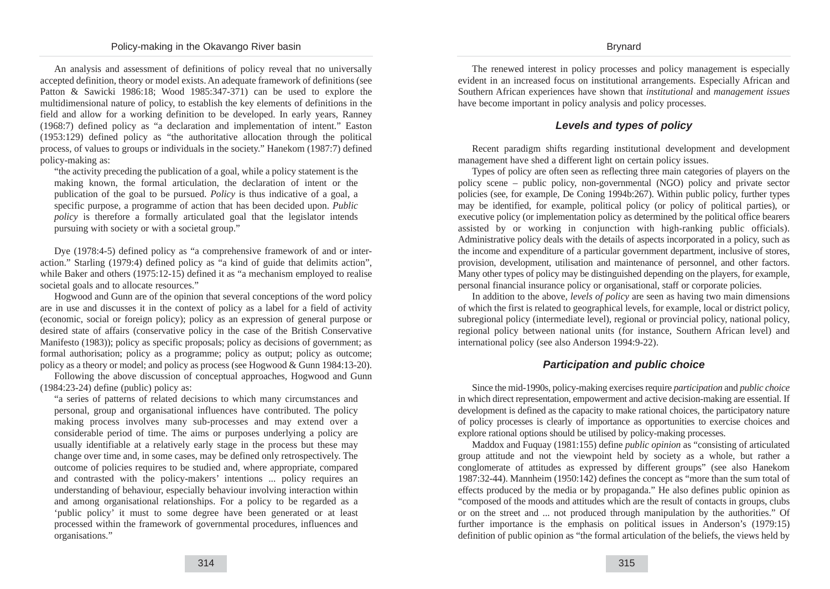An analysis and assessment of definitions of policy reveal that no universally accepted definition, theory or model exists. An adequate framework of definitions (see Patton & Sawicki 1986:18; Wood 1985:347-371) can be used to explore the multidimensional nature of policy, to establish the key elements of definitions in the field and allow for a working definition to be developed. In early years, Ranney (1968:7) defined policy as "a declaration and implementation of intent." Easton (1953:129) defined policy as "the authoritative allocation through the political process, of values to groups or individuals in the society." Hanekom (1987:7) defined policy-making as:

"the activity preceding the publication of a goal, while a policy statement is the making known, the formal articulation, the declaration of intent or the publication of the goal to be pursued. *Policy* is thus indicative of a goal, a specific purpose, a programme of action that has been decided upon. *Public policy* is therefore a formally articulated goal that the legislator intends pursuing with society or with a societal group."

Dye (1978:4-5) defined policy as "a comprehensive framework of and or interaction." Starling (1979:4) defined policy as "a kind of guide that delimits action", while Baker and others (1975:12-15) defined it as "a mechanism employed to realise societal goals and to allocate resources."

Hogwood and Gunn are of the opinion that several conceptions of the word policy are in use and discusses it in the context of policy as a label for a field of activity (economic, social or foreign policy); policy as an expression of general purpose or desired state of affairs (conservative policy in the case of the British Conservative Manifesto (1983)); policy as specific proposals; policy as decisions of government; as formal authorisation; policy as a programme; policy as output; policy as outcome; policy as a theory or model; and policy as process (see Hogwood & Gunn 1984:13-20).

Following the above discussion of conceptual approaches, Hogwood and Gunn (1984:23-24) define (public) policy as:

"a series of patterns of related decisions to which many circumstances and personal, group and organisational influences have contributed. The policy making process involves many sub-processes and may extend over a considerable period of time. The aims or purposes underlying a policy are usually identifiable at a relatively early stage in the process but these may change over time and, in some cases, may be defined only retrospectively. The outcome of policies requires to be studied and, where appropriate, compared and contrasted with the policy-makers' intentions ... policy requires an understanding of behaviour, especially behaviour involving interaction within and among organisational relationships. For a policy to be regarded as a 'public policy' it must to some degree have been generated or at least processed within the framework of governmental procedures, influences and organisations."

The renewed interest in policy processes and policy management is especially evident in an increased focus on institutional arrangements. Especially African and Southern African experiences have shown that *institutional* and *management issues* have become important in policy analysis and policy processes.

#### **Levels and types of policy**

Recent paradigm shifts regarding institutional development and development management have shed a different light on certain policy issues.

Types of policy are often seen as reflecting three main categories of players on the policy scene – public policy, non-governmental (NGO) policy and private sector policies (see, for example, De Coning 1994b:267). Within public policy, further types may be identified, for example, political policy (or policy of political parties), or executive policy (or implementation policy as determined by the political office bearers assisted by or working in conjunction with high-ranking public officials). Administrative policy deals with the details of aspects incorporated in a policy, such as the income and expenditure of a particular government department, inclusive of stores, provision, development, utilisation and maintenance of personnel, and other factors. Many other types of policy may be distinguished depending on the players, for example, personal financial insurance policy or organisational, staff or corporate policies.

In addition to the above, *levels of policy* are seen as having two main dimensions of which the first is related to geographical levels, for example, local or district policy, subregional policy (intermediate level), regional or provincial policy, national policy, regional policy between national units (for instance, Southern African level) and international policy (see also Anderson 1994:9-22).

## **Participation and public choice**

Since the mid-1990s, policy-making exercises require *participation* and *public choice* in which direct representation, empowerment and active decision-making are essential. If development is defined as the capacity to make rational choices, the participatory nature of policy processes is clearly of importance as opportunities to exercise choices and explore rational options should be utilised by policy-making processes.

Maddox and Fuquay (1981:155) define *public opinion* as "consisting of articulated group attitude and not the viewpoint held by society as a whole, but rather a conglomerate of attitudes as expressed by different groups" (see also Hanekom 1987:32-44). Mannheim (1950:142) defines the concept as "more than the sum total of effects produced by the media or by propaganda." He also defines public opinion as "composed of the moods and attitudes which are the result of contacts in groups, clubs or on the street and ... not produced through manipulation by the authorities." Of further importance is the emphasis on political issues in Anderson's (1979:15) definition of public opinion as "the formal articulation of the beliefs, the views held by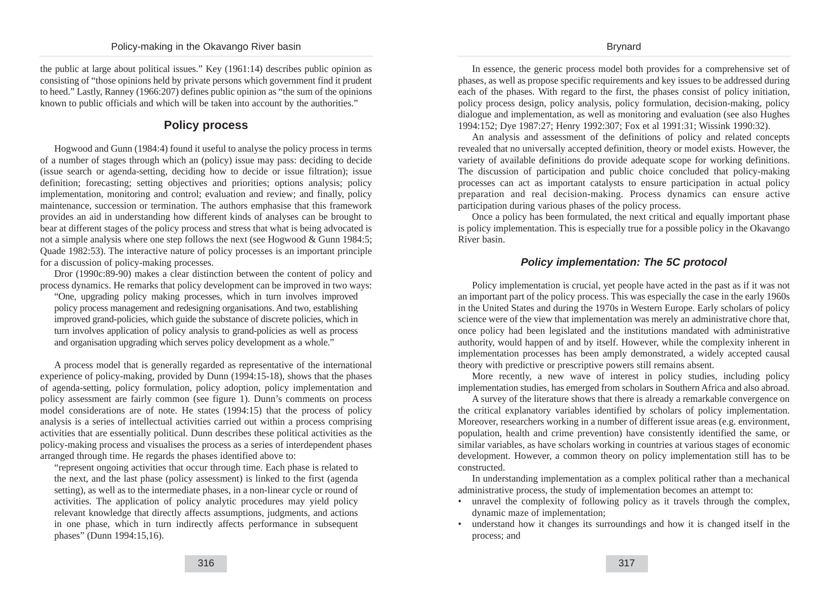#### Policy-making in the Okavango River basin

the public at large about political issues." Key (1961:14) describes public opinion as consisting of "those opinions held by private persons which government find it prudent to heed." Lastly, Ranney (1966:207) defines public opinion as "the sum of the opinions known to public officials and which will be taken into account by the authorities."

# **Policy process**

Hogwood and Gunn (1984:4) found it useful to analyse the policy process in terms of a number of stages through which an (policy) issue may pass: deciding to decide (issue search or agenda-setting, deciding how to decide or issue filtration); issue definition; forecasting; setting objectives and priorities; options analysis; policy implementation, monitoring and control; evaluation and review; and finally, policy maintenance, succession or termination. The authors emphasise that this framework provides an aid in understanding how different kinds of analyses can be brought to bear at different stages of the policy process and stress that what is being advocated is not a simple analysis where one step follows the next (see Hogwood & Gunn 1984:5; Quade 1982:53). The interactive nature of policy processes is an important principle for a discussion of policy-making processes.

Dror (1990c:89-90) makes a clear distinction between the content of policy and process dynamics. He remarks that policy development can be improved in two ways:

"One, upgrading policy making processes, which in turn involves improved policy process management and redesigning organisations. And two, establishing improved grand-policies, which guide the substance of discrete policies, which in turn involves application of policy analysis to grand-policies as well as process and organisation upgrading which serves policy development as a whole."

A process model that is generally regarded as representative of the international experience of policy-making, provided by Dunn (1994:15-18), shows that the phases of agenda-setting, policy formulation, policy adoption, policy implementation and policy assessment are fairly common (see figure 1). Dunn's comments on process model considerations are of note. He states (1994:15) that the process of policy analysis is a series of intellectual activities carried out within a process comprising activities that are essentially political. Dunn describes these political activities as the policy-making process and visualises the process as a series of interdependent phases arranged through time. He regards the phases identified above to:

"represent ongoing activities that occur through time. Each phase is related to the next, and the last phase (policy assessment) is linked to the first (agenda setting), as well as to the intermediate phases, in a non-linear cycle or round of activities. The application of policy analytic procedures may yield policy relevant knowledge that directly affects assumptions, judgments, and actions in one phase, which in turn indirectly affects performance in subsequent phases" (Dunn 1994:15,16).

In essence, the generic process model both provides for a comprehensive set of phases, as well as propose specific requirements and key issues to be addressed during each of the phases. With regard to the first, the phases consist of policy initiation, policy process design, policy analysis, policy formulation, decision-making, policy dialogue and implementation, as well as monitoring and evaluation (see also Hughes 1994:152; Dye 1987:27; Henry 1992:307; Fox et al 1991:31; Wissink 1990:32).

An analysis and assessment of the definitions of policy and related concepts revealed that no universally accepted definition, theory or model exists. However, the variety of available definitions do provide adequate scope for working definitions. The discussion of participation and public choice concluded that policy-making processes can act as important catalysts to ensure participation in actual policy preparation and real decision-making. Process dynamics can ensure active participation during various phases of the policy process.

Once a policy has been formulated, the next critical and equally important phase is policy implementation. This is especially true for a possible policy in the Okavango River basin.

## **Policy implementation: The 5C protocol**

Policy implementation is crucial, yet people have acted in the past as if it was not an important part of the policy process. This was especially the case in the early 1960s in the United States and during the 1970s in Western Europe. Early scholars of policy science were of the view that implementation was merely an administrative chore that, once policy had been legislated and the institutions mandated with administrative authority, would happen of and by itself. However, while the complexity inherent in implementation processes has been amply demonstrated, a widely accepted causal theory with predictive or prescriptive powers still remains absent.

More recently, a new wave of interest in policy studies, including policy implementation studies, has emerged from scholars in Southern Africa and also abroad.

A survey of the literature shows that there is already a remarkable convergence on the critical explanatory variables identified by scholars of policy implementation. Moreover, researchers working in a number of different issue areas (e.g. environment, population, health and crime prevention) have consistently identified the same, or similar variables, as have scholars working in countries at various stages of economic development. However, a common theory on policy implementation still has to be constructed.

In understanding implementation as a complex political rather than a mechanical administrative process, the study of implementation becomes an attempt to:

- unravel the complexity of following policy as it travels through the complex, dynamic maze of implementation;
- understand how it changes its surroundings and how it is changed itself in the process; and

#### Brynard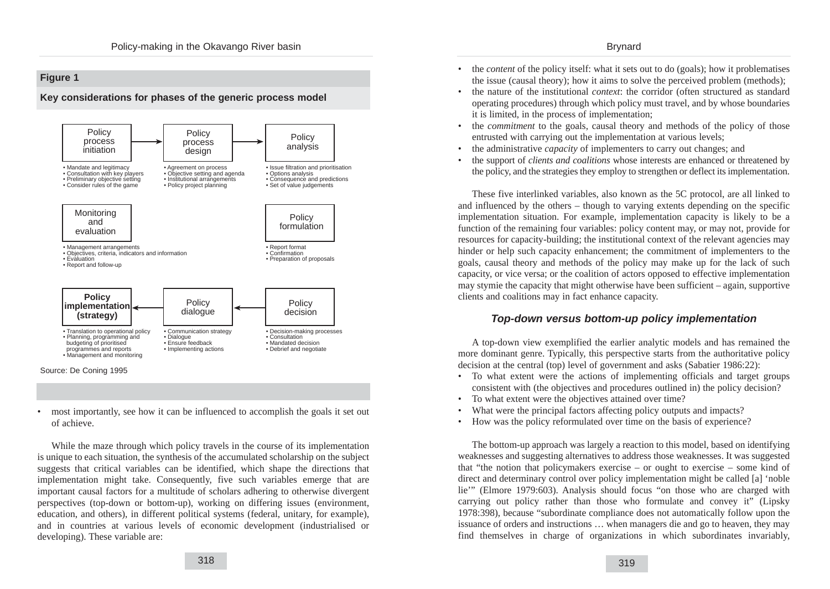#### Brynard



• most importantly, see how it can be influenced to accomplish the goals it set out of achieve.

While the maze through which policy travels in the course of its implementation is unique to each situation, the synthesis of the accumulated scholarship on the subject suggests that critical variables can be identified, which shape the directions that implementation might take. Consequently, five such variables emerge that are important causal factors for a multitude of scholars adhering to otherwise divergent perspectives (top-down or bottom-up), working on differing issues (environment, education, and others), in different political systems (federal, unitary, for example), and in countries at various levels of economic development (industrialised or developing). These variable are:

- the *content* of the policy itself: what it sets out to do (goals); how it problematises the issue (causal theory); how it aims to solve the perceived problem (methods);
- the nature of the institutional *context*: the corridor (often structured as standard operating procedures) through which policy must travel, and by whose boundaries it is limited, in the process of implementation;
- the *commitment* to the goals, causal theory and methods of the policy of those entrusted with carrying out the implementation at various levels;
- the administrative *capacity* of implementers to carry out changes; and
- the support of *clients and coalitions* whose interests are enhanced or threatened by the policy, and the strategies they employ to strengthen or deflect its implementation.

These five interlinked variables, also known as the 5C protocol, are all linked to and influenced by the others – though to varying extents depending on the specific implementation situation. For example, implementation capacity is likely to be a function of the remaining four variables: policy content may, or may not, provide for resources for capacity-building; the institutional context of the relevant agencies may hinder or help such capacity enhancement; the commitment of implementers to the goals, causal theory and methods of the policy may make up for the lack of such capacity, or vice versa; or the coalition of actors opposed to effective implementation may stymie the capacity that might otherwise have been sufficient – again, supportive clients and coalitions may in fact enhance capacity.

## **Top-down versus bottom-up policy implementation**

A top-down view exemplified the earlier analytic models and has remained the more dominant genre. Typically, this perspective starts from the authoritative policy decision at the central (top) level of government and asks (Sabatier 1986:22):

- To what extent were the actions of implementing officials and target groups consistent with (the objectives and procedures outlined in) the policy decision?
- To what extent were the objectives attained over time?
- What were the principal factors affecting policy outputs and impacts?
- How was the policy reformulated over time on the basis of experience?

The bottom-up approach was largely a reaction to this model, based on identifying weaknesses and suggesting alternatives to address those weaknesses. It was suggested that "the notion that policymakers exercise – or ought to exercise – some kind of direct and determinary control over policy implementation might be called [a] 'noble lie'" (Elmore 1979:603). Analysis should focus "on those who are charged with carrying out policy rather than those who formulate and convey it" (Lipsky 1978:398), because "subordinate compliance does not automatically follow upon the issuance of orders and instructions … when managers die and go to heaven, they may find themselves in charge of organizations in which subordinates invariably,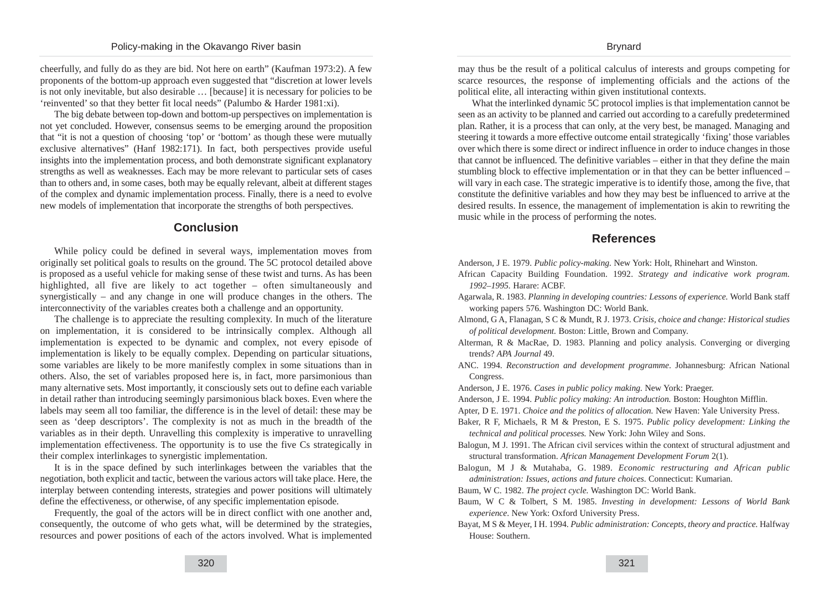cheerfully, and fully do as they are bid. Not here on earth" (Kaufman 1973:2). A few proponents of the bottom-up approach even suggested that "discretion at lower levels is not only inevitable, but also desirable … [because] it is necessary for policies to be 'reinvented' so that they better fit local needs" (Palumbo & Harder 1981:xi).

The big debate between top-down and bottom-up perspectives on implementation is not yet concluded. However, consensus seems to be emerging around the proposition that "it is not a question of choosing 'top' or 'bottom' as though these were mutually exclusive alternatives" (Hanf 1982:171). In fact, both perspectives provide useful insights into the implementation process, and both demonstrate significant explanatory strengths as well as weaknesses. Each may be more relevant to particular sets of cases than to others and, in some cases, both may be equally relevant, albeit at different stages of the complex and dynamic implementation process. Finally, there is a need to evolve new models of implementation that incorporate the strengths of both perspectives.

## **Conclusion**

While policy could be defined in several ways, implementation moves from originally set political goals to results on the ground. The 5C protocol detailed above is proposed as a useful vehicle for making sense of these twist and turns. As has been highlighted, all five are likely to act together – often simultaneously and synergistically – and any change in one will produce changes in the others. The interconnectivity of the variables creates both a challenge and an opportunity.

The challenge is to appreciate the resulting complexity. In much of the literature on implementation, it is considered to be intrinsically complex. Although all implementation is expected to be dynamic and complex, not every episode of implementation is likely to be equally complex. Depending on particular situations, some variables are likely to be more manifestly complex in some situations than in others. Also, the set of variables proposed here is, in fact, more parsimonious than many alternative sets. Most importantly, it consciously sets out to define each variable in detail rather than introducing seemingly parsimonious black boxes. Even where the labels may seem all too familiar, the difference is in the level of detail: these may be seen as 'deep descriptors'. The complexity is not as much in the breadth of the variables as in their depth. Unravelling this complexity is imperative to unravelling implementation effectiveness. The opportunity is to use the five Cs strategically in their complex interlinkages to synergistic implementation.

It is in the space defined by such interlinkages between the variables that the negotiation, both explicit and tactic, between the various actors will take place. Here, the interplay between contending interests, strategies and power positions will ultimately define the effectiveness, or otherwise, of any specific implementation episode.

Frequently, the goal of the actors will be in direct conflict with one another and, consequently, the outcome of who gets what, will be determined by the strategies, resources and power positions of each of the actors involved. What is implemented may thus be the result of a political calculus of interests and groups competing for scarce resources, the response of implementing officials and the actions of the political elite, all interacting within given institutional contexts.

What the interlinked dynamic 5C protocol implies is that implementation cannot be seen as an activity to be planned and carried out according to a carefully predetermined plan. Rather, it is a process that can only, at the very best, be managed. Managing and steering it towards a more effective outcome entail strategically 'fixing' those variables over which there is some direct or indirect influence in order to induce changes in those that cannot be influenced. The definitive variables – either in that they define the main stumbling block to effective implementation or in that they can be better influenced – will vary in each case. The strategic imperative is to identify those, among the five, that constitute the definitive variables and how they may best be influenced to arrive at the desired results. In essence, the management of implementation is akin to rewriting the music while in the process of performing the notes.

## **References**

Anderson, J E. 1979. *Public policy-making.* New York: Holt, Rhinehart and Winston.

- African Capacity Building Foundation. 1992. *Strategy and indicative work program. 1992–1995.* Harare: ACBF.
- Agarwala, R. 1983. *Planning in developing countries: Lessons of experience.* World Bank staff working papers 576. Washington DC: World Bank.
- Almond, G A, Flanagan, S C & Mundt, R J. 1973. *Crisis, choice and change: Historical studies of political development.* Boston: Little, Brown and Company.
- Alterman, R & MacRae, D. 1983. Planning and policy analysis. Converging or diverging trends? *APA Journal* 49.
- ANC. 1994. *Reconstruction and development programme*. Johannesburg: African National Congress.
- Anderson, J E. 1976. *Cases in public policy making.* New York: Praeger.
- Anderson, J E. 1994. *Public policy making: An introduction.* Boston: Houghton Mifflin.
- Apter, D E. 1971. *Choice and the politics of allocation.* New Haven: Yale University Press.
- Baker, R F, Michaels, R M & Preston, E S. 1975. *Public policy development: Linking the technical and political processes.* New York: John Wiley and Sons.
- Balogun, M J. 1991. The African civil services within the context of structural adjustment and structural transformation. *African Management Development Forum* 2(1).
- Balogun, M J & Mutahaba, G. 1989. *Economic restructuring and African public administration: Issues, actions and future choices*. Connecticut: Kumarian.
- Baum, W C. 1982. *The project cycle.* Washington DC: World Bank.
- Baum, W C & Tolbert, S M. 1985. *Investing in development: Lessons of World Bank experience*. New York: Oxford University Press.
- Bayat, M S & Meyer, I H. 1994. *Public administration: Concepts, theory and practice.* Halfway House: Southern.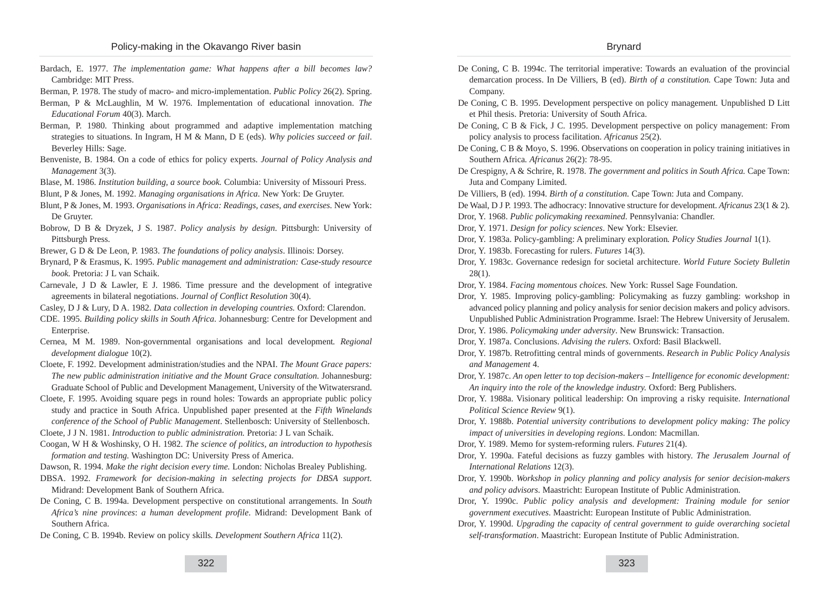- Bardach, E. 1977. *The implementation game: What happens after a bill becomes law?* Cambridge: MIT Press.
- Berman, P. 1978. The study of macro- and micro-implementation. *Public Policy* 26(2). Spring.
- Berman, P & McLaughlin, M W. 1976. Implementation of educational innovation. *The Educational Forum* 40(3). March.
- Berman, P. 1980. Thinking about programmed and adaptive implementation matching strategies to situations. In Ingram, H M & Mann, D E (eds). *Why policies succeed or fail*. Beverley Hills: Sage.
- Benveniste, B. 1984. On a code of ethics for policy experts. *Journal of Policy Analysis and Management* 3(3).
- Blase, M. 1986. *Institution building, a source book.* Columbia: University of Missouri Press.
- Blunt, P & Jones, M. 1992. *Managing organisations in Africa*. New York: De Gruyter.
- Blunt, P & Jones, M. 1993. *Organisations in Africa: Readings, cases, and exercises.* New York: De Gruyter.
- Bobrow, D B & Dryzek, J S. 1987. *Policy analysis by design*. Pittsburgh: University of Pittsburgh Press.
- Brewer, G D & De Leon, P. 1983. *The foundations of policy analysis*. Illinois: Dorsey.
- Brynard, P & Erasmus, K. 1995. *Public management and administration: Case-study resource book.* Pretoria: J L van Schaik.
- Carnevale, J D & Lawler, E J. 1986. Time pressure and the development of integrative agreements in bilateral negotiations. *Journal of Conflict Resolution* 30(4).
- Casley, D J & Lury, D A. 1982. *Data collection in developing countries.* Oxford: Clarendon.
- CDE. 1995. *Building policy skills in South Africa*. Johannesburg: Centre for Development and Enterprise.
- Cernea, M M. 1989. Non-governmental organisations and local development*. Regional development dialogue* 10(2).
- Cloete, F. 1992. Development administration/studies and the NPAI. *The Mount Grace papers: The new public administration initiative and the Mount Grace consultation.* Johannesburg: Graduate School of Public and Development Management, University of the Witwatersrand.
- Cloete, F. 1995. Avoiding square pegs in round holes: Towards an appropriate public policy study and practice in South Africa. Unpublished paper presented at the *Fifth Winelands conference of the School of Public Management*. Stellenbosch: University of Stellenbosch.
- Cloete, J J N. 1981. *Introduction to public administration.* Pretoria: J L van Schaik.
- Coogan, W H & Woshinsky, O H. 1982. *The science of politics, an introduction to hypothesis formation and testing.* Washington DC: University Press of America.
- Dawson, R. 1994. *Make the right decision every time.* London: Nicholas Brealey Publishing.
- DBSA. 1992. *Framework for decision-making in selecting projects for DBSA support.* Midrand: Development Bank of Southern Africa.
- De Coning, C B. 1994a. Development perspective on constitutional arrangements. In *South Africa's nine provinces*: *a human development profile*. Midrand: Development Bank of Southern Africa.
- De Coning, C B. 1994b. Review on policy skills*. Development Southern Africa* 11(2).

De Coning, C B. 1994c. The territorial imperative: Towards an evaluation of the provincial demarcation process. In De Villiers, B (ed). *Birth of a constitution.* Cape Town: Juta and Company.

Brynard

- De Coning, C B. 1995. Development perspective on policy management*.* Unpublished D Litt et Phil thesis. Pretoria: University of South Africa.
- De Coning, C B & Fick, J C. 1995. Development perspective on policy management: From policy analysis to process facilitation. *Africanus* 25(2).
- De Coning, C B & Moyo, S. 1996. Observations on cooperation in policy training initiatives in Southern Africa*. Africanus* 26(2): 78-95.
- De Crespigny, A & Schrire, R. 1978. *The government and politics in South Africa.* Cape Town: Juta and Company Limited.
- De Villiers, B (ed). 1994. *Birth of a constitution.* Cape Town: Juta and Company.
- De Waal, D J P. 1993. The adhocracy: Innovative structure for development. *Africanus* 23(1 & 2). Dror, Y. 1968. *Public policymaking reexamined*. Pennsylvania: Chandler.
- Dror, Y. 1971. *Design for policy sciences*. New York: Elsevier.
- Dror, Y. 1983a. Policy-gambling: A preliminary exploration*. Policy Studies Journal* 1(1).
- Dror, Y. 1983b. Forecasting for rulers. *Futures* 14(3).
- Dror, Y. 1983c. Governance redesign for societal architecture. *World Future Society Bulletin* 28(1).
- Dror, Y. 1984. *Facing momentous choices.* New York: Russel Sage Foundation.
- Dror, Y. 1985. Improving policy-gambling: Policymaking as fuzzy gambling: workshop in advanced policy planning and policy analysis for senior decision makers and policy advisors. Unpublished Public Administration Programme. Israel: The Hebrew University of Jerusalem.
- Dror, Y. 1986. *Policymaking under adversity*. New Brunswick: Transaction.
- Dror, Y. 1987a. Conclusions. *Advising the rulers*. Oxford: Basil Blackwell.
- Dror, Y. 1987b. Retrofitting central minds of governments. *Research in Public Policy Analysis and Management* 4.
- Dror, Y. 1987c. *An open letter to top decision-makers Intelligence for economic development: An inquiry into the role of the knowledge industry.* Oxford: Berg Publishers.
- Dror, Y. 1988a. Visionary political leadership: On improving a risky requisite. *International Political Science Review* 9(1).
- Dror, Y. 1988b. *Potential university contributions to development policy making: The policy impact of universities in developing regions*. London: Macmillan.
- Dror, Y. 1989. Memo for system-reforming rulers. *Futures* 21(4).
- Dror, Y. 1990a. Fateful decisions as fuzzy gambles with history. *The Jerusalem Journal of International Relations* 12(3).
- Dror, Y. 1990b. *Workshop in policy planning and policy analysis for senior decision-makers and policy advisors*. Maastricht: European Institute of Public Administration.
- Dror, Y. 1990c. *Public policy analysis and development: Training module for senior government executives*. Maastricht: European Institute of Public Administration.
- Dror, Y. 1990d. *Upgrading the capacity of central government to guide overarching societal self-transformation*. Maastricht: European Institute of Public Administration.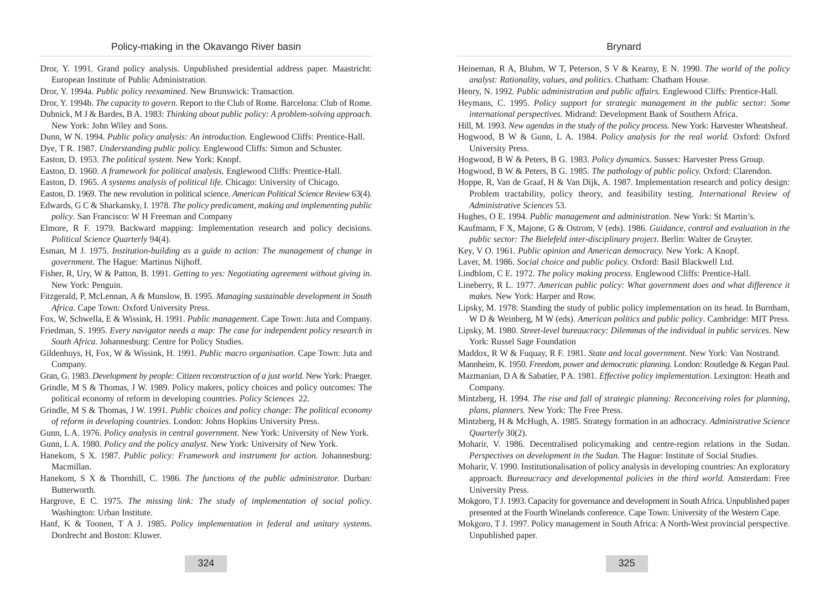| Dror, Y. 1991. Grand policy analysis. Unpublished presidential address paper. Maastricht:                                                                                                    | Heineman, R A, Bluhm, W T, Peterson, S V & Kearny, E N. 1990. The world of the policy                                                                             |
|----------------------------------------------------------------------------------------------------------------------------------------------------------------------------------------------|-------------------------------------------------------------------------------------------------------------------------------------------------------------------|
| European Institute of Public Administration.<br>Dror, Y. 1994a. Public policy reexamined. New Brunswick: Transaction.                                                                        | analyst: Rationality, values, and politics. Chatham: Chatham House.<br>Henry, N. 1992. Public administration and public affairs. Englewood Cliffs: Prentice-Hall. |
| Dror, Y. 1994b. The capacity to govern. Report to the Club of Rome. Barcelona: Club of Rome.                                                                                                 | Heymans, C. 1995. Policy support for strategic management in the public sector: Some                                                                              |
| Dubnick, M J & Bardes, B A. 1983: Thinking about public policy: A problem-solving approach.                                                                                                  | international perspectives. Midrand: Development Bank of Southern Africa.                                                                                         |
| New York: John Wiley and Sons.                                                                                                                                                               | Hill, M. 1993. New agendas in the study of the policy process. New York: Harvester Wheatsheaf.                                                                    |
| Dunn, W N. 1994. Public policy analysis: An introduction. Englewood Cliffs: Prentice-Hall.                                                                                                   | Hogwood, B W & Gunn, L A. 1984. Policy analysis for the real world. Oxford: Oxford                                                                                |
| Dye, T R. 1987. Understanding public policy. Englewood Cliffs: Simon and Schuster.                                                                                                           | University Press.                                                                                                                                                 |
| Easton, D. 1953. The political system. New York: Knopf.                                                                                                                                      | Hogwood, B W & Peters, B G. 1983. Policy dynamics. Sussex: Harvester Press Group.                                                                                 |
| Easton, D. 1960. A framework for political analysis. Englewood Cliffs: Prentice-Hall.                                                                                                        | Hogwood, B W & Peters, B G. 1985. The pathology of public policy. Oxford: Clarendon.                                                                              |
| Easton, D. 1965. A systems analysis of political life. Chicago: University of Chicago.                                                                                                       | Hoppe, R, Van de Graaf, H & Van Dijk, A. 1987. Implementation research and policy design:                                                                         |
| Easton, D. 1969. The new revolution in political science. American Political Science Review 63(4).                                                                                           | Problem tractability, policy theory, and feasibility testing. International Review of                                                                             |
| Edwards, G C & Sharkansky, I. 1978. The policy predicament, making and implementing public                                                                                                   | Administrative Sciences 53.                                                                                                                                       |
| policy. San Francisco: W H Freeman and Company                                                                                                                                               | Hughes, O E. 1994. Public management and administration. New York: St Martin's.                                                                                   |
| Elmore, R F. 1979. Backward mapping: Implementation research and policy decisions.                                                                                                           | Kaufmann, F X, Majone, G & Ostrom, V (eds). 1986. Guidance, control and evaluation in the                                                                         |
| Political Science Quarterly 94(4).                                                                                                                                                           | public sector: The Bielefeld inter-disciplinary project. Berlin: Walter de Gruyter.                                                                               |
| Esman, M J. 1975. Institution-building as a guide to action: The management of change in                                                                                                     | Key, V O. 1961. Public opinion and American democracy. New York: A Knopf.                                                                                         |
| government. The Hague: Martinus Nijhoff.                                                                                                                                                     | Laver, M. 1986. Social choice and public policy. Oxford: Basil Blackwell Ltd.                                                                                     |
| Fisher, R, Ury, W & Patton, B. 1991. Getting to yes: Negotiating agreement without giving in.                                                                                                | Lindblom, C E. 1972. The policy making process. Englewood Cliffs: Prentice-Hall.                                                                                  |
| New York: Penguin.                                                                                                                                                                           | Lineberry, R L. 1977. American public policy: What government does and what difference it                                                                         |
| Fitzgerald, P, McLennan, A & Munslow, B. 1995. Managing sustainable development in South                                                                                                     | makes. New York: Harper and Row.                                                                                                                                  |
| Africa. Cape Town: Oxford University Press.                                                                                                                                                  | Lipsky, M. 1978: Standing the study of public policy implementation on its head. In Burnham,                                                                      |
| Fox, W, Schwella, E & Wissink, H. 1991. Public management. Cape Town: Juta and Company.                                                                                                      | W D & Weinberg, M W (eds). American politics and public policy. Cambridge: MIT Press.                                                                             |
| Friedman, S. 1995. Every navigator needs a map: The case for independent policy research in                                                                                                  | Lipsky, M. 1980. Street-level bureaucracy: Dilemmas of the individual in public services. New                                                                     |
| South Africa. Johannesburg: Centre for Policy Studies.                                                                                                                                       | York: Russel Sage Foundation                                                                                                                                      |
| Gildenhuys, H, Fox, W & Wissink, H. 1991. Public macro organisation. Cape Town: Juta and                                                                                                     | Maddox, R W & Fuquay, R F. 1981. State and local government. New York: Van Nostrand.                                                                              |
| Company.                                                                                                                                                                                     | Mannheim, K. 1950. Freedom, power and democratic planning. London: Routledge & Kegan Paul.                                                                        |
| Gran, G. 1983. Development by people: Citizen reconstruction of a just world. New York: Praeger.<br>Grindle, M S & Thomas, J W. 1989. Policy makers, policy choices and policy outcomes: The | Mazmanian, D A & Sabatier, P A. 1981. Effective policy implementation. Lexington: Heath and<br>Company.                                                           |
| political economy of reform in developing countries. Policy Sciences 22.                                                                                                                     | Mintzberg, H. 1994. The rise and fall of strategic planning: Reconceiving roles for planning,                                                                     |
| Grindle, M S & Thomas, J W. 1991. Public choices and policy change: The political economy                                                                                                    | plans, planners. New York: The Free Press.                                                                                                                        |
| of reform in developing countries. London: Johns Hopkins University Press.                                                                                                                   | Mintzberg, H & McHugh, A. 1985. Strategy formation in an adhocracy. Administrative Science                                                                        |
| Gunn, L A. 1976. Policy analysis in central government. New York: University of New York.                                                                                                    | Quarterly 30(2).                                                                                                                                                  |
| Gunn, L A. 1980. Policy and the policy analyst. New York: University of New York.                                                                                                            | Moharir, V. 1986. Decentralised policymaking and centre-region relations in the Sudan.                                                                            |
| Hanekom, S X. 1987. Public policy: Framework and instrument for action. Johannesburg:                                                                                                        | Perspectives on development in the Sudan. The Hague: Institute of Social Studies.                                                                                 |
| Macmillan.                                                                                                                                                                                   | Moharir, V. 1990. Institutionalisation of policy analysis in developing countries: An exploratory                                                                 |
| Hanekom, S X & Thornhill, C. 1986. The functions of the public administrator. Durban:                                                                                                        | approach. Bureaucracy and developmental policies in the third world. Amsterdam: Free                                                                              |
| Butterworth.                                                                                                                                                                                 | University Press.                                                                                                                                                 |
| Hargrove, E C. 1975. The missing link: The study of implementation of social policy.                                                                                                         | Mokgoro, T J. 1993. Capacity for governance and development in South Africa. Unpublished paper                                                                    |
| Washington: Urban Institute.                                                                                                                                                                 | presented at the Fourth Winelands conference. Cape Town: University of the Western Cape.                                                                          |
| Hanf, K & Toonen, T A J. 1985. Policy implementation in federal and unitary systems.<br>Dordrecht and Boston: Kluwer.                                                                        | Mokgoro, T J. 1997. Policy management in South Africa: A North-West provincial perspective.<br>Unpublished paper.                                                 |